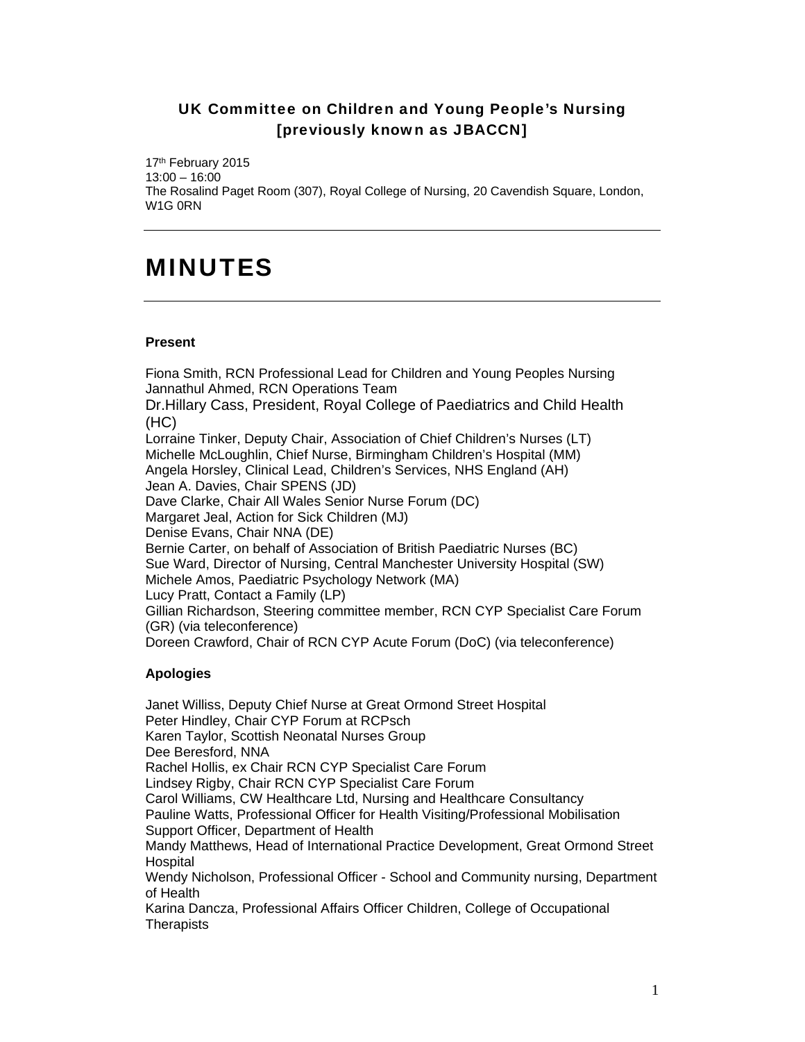## UK Committee on Children and Young People's Nursing [previously known as JBACCN]

17<sup>th</sup> February 2015 13:00 – 16:00 The Rosalind Paget Room (307), Royal College of Nursing, 20 Cavendish Square, London, W1G 0RN

## MINUTES

## **Present**

Fiona Smith, RCN Professional Lead for Children and Young Peoples Nursing Jannathul Ahmed, RCN Operations Team Dr.Hillary Cass, President, Royal College of Paediatrics and Child Health (HC) Lorraine Tinker, Deputy Chair, Association of Chief Children's Nurses (LT) Michelle McLoughlin, Chief Nurse, Birmingham Children's Hospital (MM) Angela Horsley, Clinical Lead, Children's Services, NHS England (AH) Jean A. Davies, Chair SPENS (JD) Dave Clarke, Chair All Wales Senior Nurse Forum (DC) Margaret Jeal, Action for Sick Children (MJ) Denise Evans, Chair NNA (DE) Bernie Carter, on behalf of Association of British Paediatric Nurses (BC) Sue Ward, Director of Nursing, Central Manchester University Hospital (SW) Michele Amos, Paediatric Psychology Network (MA) Lucy Pratt, Contact a Family (LP) Gillian Richardson, Steering committee member, RCN CYP Specialist Care Forum (GR) (via teleconference) Doreen Crawford, Chair of RCN CYP Acute Forum (DoC) (via teleconference)

## **Apologies**

Janet Williss, Deputy Chief Nurse at Great Ormond Street Hospital Peter Hindley, Chair CYP Forum at RCPsch Karen Taylor, Scottish Neonatal Nurses Group Dee Beresford, NNA Rachel Hollis, ex Chair RCN CYP Specialist Care Forum Lindsey Rigby, Chair RCN CYP Specialist Care Forum Carol Williams, CW Healthcare Ltd, Nursing and Healthcare Consultancy Pauline Watts, Professional Officer for Health Visiting/Professional Mobilisation Support Officer, Department of Health Mandy Matthews, Head of International Practice Development, Great Ormond Street **Hospital** Wendy Nicholson, Professional Officer - School and Community nursing, Department of Health Karina Dancza, Professional Affairs Officer Children, College of Occupational **Therapists**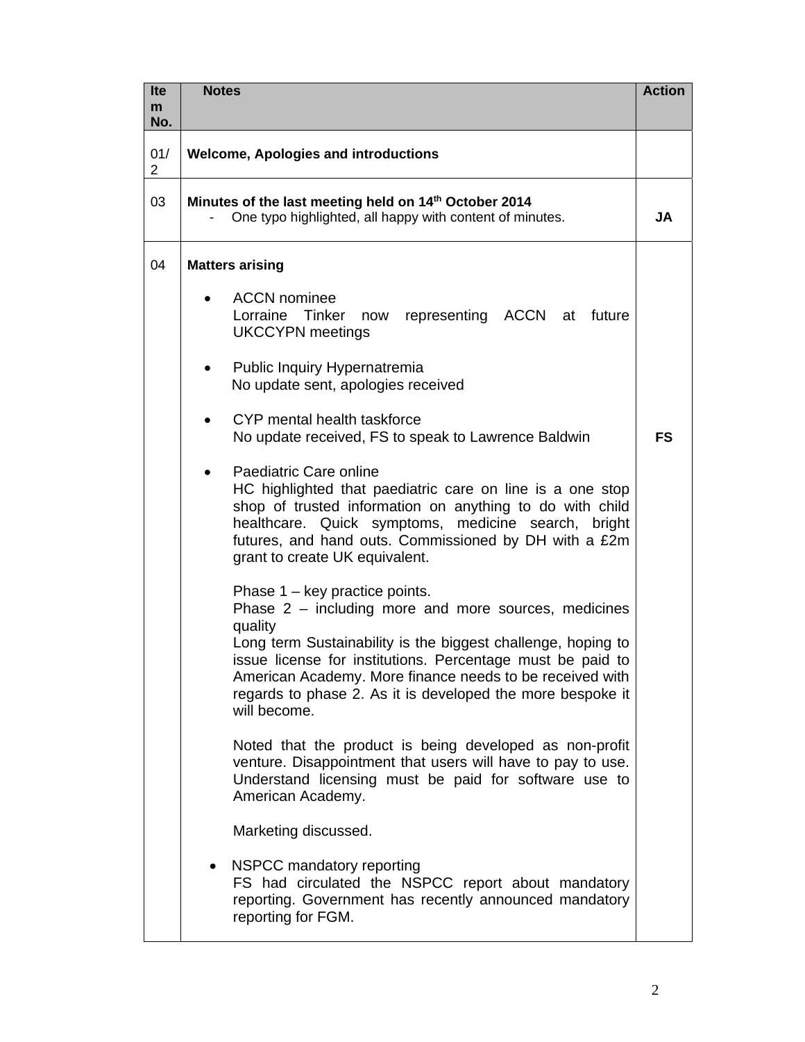| <b>Ite</b><br>m       | <b>Notes</b>                                                                                                                                                                                                                                                                                                                                                                       | <b>Action</b> |
|-----------------------|------------------------------------------------------------------------------------------------------------------------------------------------------------------------------------------------------------------------------------------------------------------------------------------------------------------------------------------------------------------------------------|---------------|
| No.                   |                                                                                                                                                                                                                                                                                                                                                                                    |               |
| 01/<br>$\overline{2}$ | <b>Welcome, Apologies and introductions</b>                                                                                                                                                                                                                                                                                                                                        |               |
| 03                    | Minutes of the last meeting held on 14th October 2014<br>One typo highlighted, all happy with content of minutes.                                                                                                                                                                                                                                                                  |               |
| 04                    | <b>Matters arising</b>                                                                                                                                                                                                                                                                                                                                                             |               |
|                       | <b>ACCN</b> nominee<br>Lorraine Tinker now representing ACCN at<br>future<br><b>UKCCYPN</b> meetings                                                                                                                                                                                                                                                                               |               |
|                       | Public Inquiry Hypernatremia<br>No update sent, apologies received                                                                                                                                                                                                                                                                                                                 |               |
|                       | CYP mental health taskforce<br>No update received, FS to speak to Lawrence Baldwin                                                                                                                                                                                                                                                                                                 | <b>FS</b>     |
|                       | Paediatric Care online<br>HC highlighted that paediatric care on line is a one stop<br>shop of trusted information on anything to do with child<br>healthcare. Quick symptoms, medicine search, bright<br>futures, and hand outs. Commissioned by DH with a £2m<br>grant to create UK equivalent.                                                                                  |               |
|                       | Phase $1 - \text{key}$ practice points.<br>Phase 2 - including more and more sources, medicines<br>quality<br>Long term Sustainability is the biggest challenge, hoping to<br>issue license for institutions. Percentage must be paid to<br>American Academy. More finance needs to be received with<br>regards to phase 2. As it is developed the more bespoke it<br>will become. |               |
|                       | Noted that the product is being developed as non-profit<br>venture. Disappointment that users will have to pay to use.<br>Understand licensing must be paid for software use to<br>American Academy.                                                                                                                                                                               |               |
|                       | Marketing discussed.                                                                                                                                                                                                                                                                                                                                                               |               |
|                       | NSPCC mandatory reporting<br>$\bullet$<br>FS had circulated the NSPCC report about mandatory<br>reporting. Government has recently announced mandatory<br>reporting for FGM.                                                                                                                                                                                                       |               |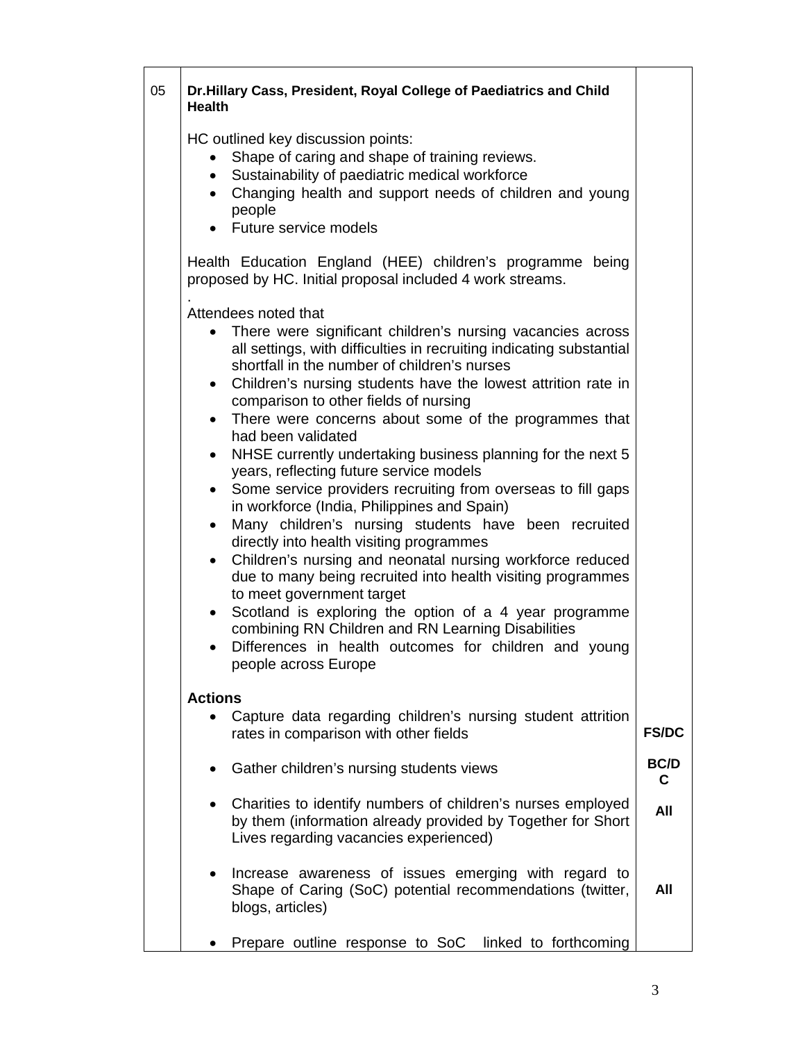| 05 | <b>Health</b>                                                                                        | Dr.Hillary Cass, President, Royal College of Paediatrics and Child                                                                                                                                                                                                                                                                                                                                                                                                                                                                                                                                                                                                                                                                                                                                                                                                                                                                                                                                                                                                                         |                  |
|----|------------------------------------------------------------------------------------------------------|--------------------------------------------------------------------------------------------------------------------------------------------------------------------------------------------------------------------------------------------------------------------------------------------------------------------------------------------------------------------------------------------------------------------------------------------------------------------------------------------------------------------------------------------------------------------------------------------------------------------------------------------------------------------------------------------------------------------------------------------------------------------------------------------------------------------------------------------------------------------------------------------------------------------------------------------------------------------------------------------------------------------------------------------------------------------------------------------|------------------|
|    | $\bullet$<br>$\bullet$                                                                               | HC outlined key discussion points:<br>Shape of caring and shape of training reviews.<br>Sustainability of paediatric medical workforce<br>Changing health and support needs of children and young<br>people<br>• Future service models                                                                                                                                                                                                                                                                                                                                                                                                                                                                                                                                                                                                                                                                                                                                                                                                                                                     |                  |
|    |                                                                                                      | Health Education England (HEE) children's programme being<br>proposed by HC. Initial proposal included 4 work streams.                                                                                                                                                                                                                                                                                                                                                                                                                                                                                                                                                                                                                                                                                                                                                                                                                                                                                                                                                                     |                  |
|    | $\bullet$<br>$\bullet$<br>$\bullet$<br>$\bullet$<br>$\bullet$<br>$\bullet$<br>$\bullet$<br>$\bullet$ | Attendees noted that<br>There were significant children's nursing vacancies across<br>all settings, with difficulties in recruiting indicating substantial<br>shortfall in the number of children's nurses<br>Children's nursing students have the lowest attrition rate in<br>comparison to other fields of nursing<br>There were concerns about some of the programmes that<br>had been validated<br>NHSE currently undertaking business planning for the next 5<br>years, reflecting future service models<br>Some service providers recruiting from overseas to fill gaps<br>in workforce (India, Philippines and Spain)<br>Many children's nursing students have been recruited<br>directly into health visiting programmes<br>Children's nursing and neonatal nursing workforce reduced<br>due to many being recruited into health visiting programmes<br>to meet government target<br>Scotland is exploring the option of a 4 year programme<br>combining RN Children and RN Learning Disabilities<br>Differences in health outcomes for children and young<br>people across Europe |                  |
|    | <b>Actions</b>                                                                                       | Capture data regarding children's nursing student attrition                                                                                                                                                                                                                                                                                                                                                                                                                                                                                                                                                                                                                                                                                                                                                                                                                                                                                                                                                                                                                                |                  |
|    |                                                                                                      | rates in comparison with other fields                                                                                                                                                                                                                                                                                                                                                                                                                                                                                                                                                                                                                                                                                                                                                                                                                                                                                                                                                                                                                                                      | <b>FS/DC</b>     |
|    | $\bullet$                                                                                            | Gather children's nursing students views                                                                                                                                                                                                                                                                                                                                                                                                                                                                                                                                                                                                                                                                                                                                                                                                                                                                                                                                                                                                                                                   | <b>BC/D</b><br>C |
|    | $\bullet$                                                                                            | Charities to identify numbers of children's nurses employed<br>by them (information already provided by Together for Short<br>Lives regarding vacancies experienced)                                                                                                                                                                                                                                                                                                                                                                                                                                                                                                                                                                                                                                                                                                                                                                                                                                                                                                                       | All              |
|    | $\bullet$                                                                                            | Increase awareness of issues emerging with regard to<br>Shape of Caring (SoC) potential recommendations (twitter,<br>blogs, articles)                                                                                                                                                                                                                                                                                                                                                                                                                                                                                                                                                                                                                                                                                                                                                                                                                                                                                                                                                      | All              |
|    |                                                                                                      | Prepare outline response to SoC<br>linked to forthcoming                                                                                                                                                                                                                                                                                                                                                                                                                                                                                                                                                                                                                                                                                                                                                                                                                                                                                                                                                                                                                                   |                  |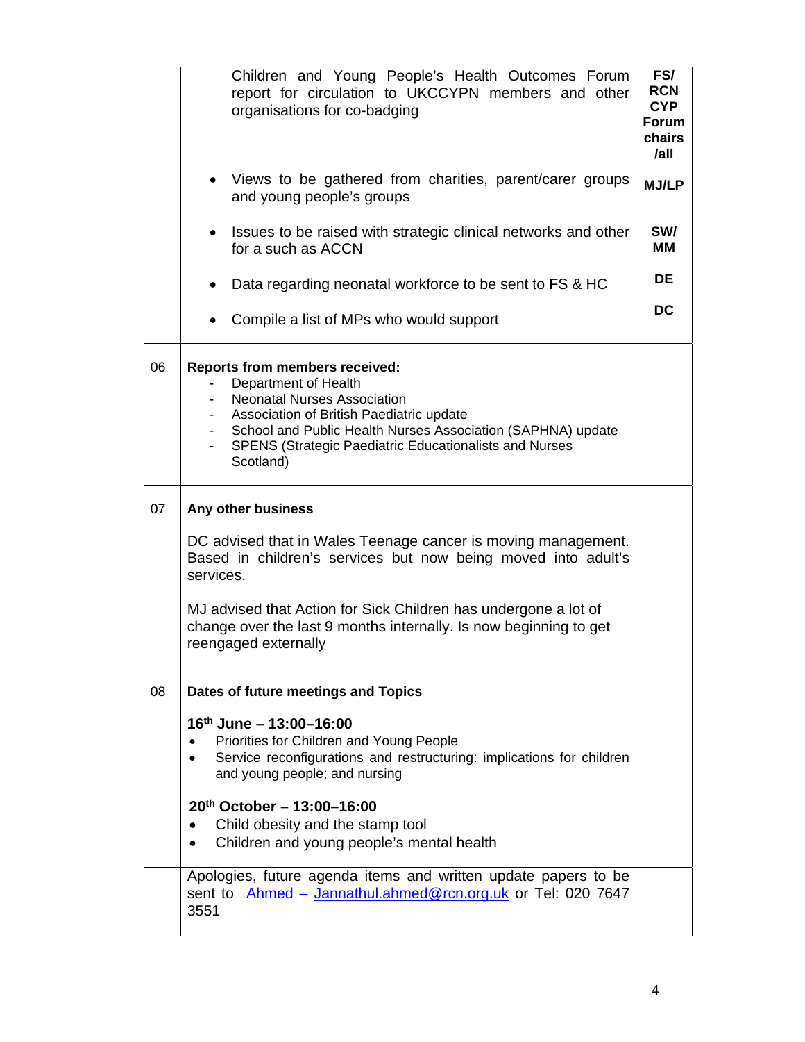|    | Children and Young People's Health Outcomes Forum<br>report for circulation to UKCCYPN members and other<br>organisations for co-badging                                                                                                                                                                 | FS/<br><b>RCN</b><br><b>CYP</b><br><b>Forum</b><br>chairs<br>$I$ all |  |  |
|----|----------------------------------------------------------------------------------------------------------------------------------------------------------------------------------------------------------------------------------------------------------------------------------------------------------|----------------------------------------------------------------------|--|--|
|    | Views to be gathered from charities, parent/carer groups<br>$\bullet$<br>and young people's groups                                                                                                                                                                                                       | <b>MJ/LP</b>                                                         |  |  |
|    | Issues to be raised with strategic clinical networks and other<br>for a such as ACCN                                                                                                                                                                                                                     | SW/<br>ΜМ                                                            |  |  |
|    | Data regarding neonatal workforce to be sent to FS & HC                                                                                                                                                                                                                                                  | <b>DE</b>                                                            |  |  |
|    | Compile a list of MPs who would support                                                                                                                                                                                                                                                                  | DC                                                                   |  |  |
| 06 | <b>Reports from members received:</b><br>Department of Health<br><b>Neonatal Nurses Association</b><br>Association of British Paediatric update<br>$\sim$<br>- School and Public Health Nurses Association (SAPHNA) update<br><b>SPENS (Strategic Paediatric Educationalists and Nurses</b><br>Scotland) |                                                                      |  |  |
| 07 | Any other business                                                                                                                                                                                                                                                                                       |                                                                      |  |  |
|    | DC advised that in Wales Teenage cancer is moving management.<br>Based in children's services but now being moved into adult's<br>services.                                                                                                                                                              |                                                                      |  |  |
|    | MJ advised that Action for Sick Children has undergone a lot of<br>change over the last 9 months internally. Is now beginning to get<br>reengaged externally                                                                                                                                             |                                                                      |  |  |
| 08 | Dates of future meetings and Topics                                                                                                                                                                                                                                                                      |                                                                      |  |  |
|    | $16th$ June - 13:00-16:00<br>Priorities for Children and Young People<br>Service reconfigurations and restructuring: implications for children<br>and young people; and nursing                                                                                                                          |                                                                      |  |  |
|    | $20^{th}$ October - 13:00-16:00<br>Child obesity and the stamp tool<br>Children and young people's mental health                                                                                                                                                                                         |                                                                      |  |  |
|    | Apologies, future agenda items and written update papers to be<br>sent to Ahmed - Jannathul.ahmed@rcn.org.uk or Tel: 020 7647<br>3551                                                                                                                                                                    |                                                                      |  |  |